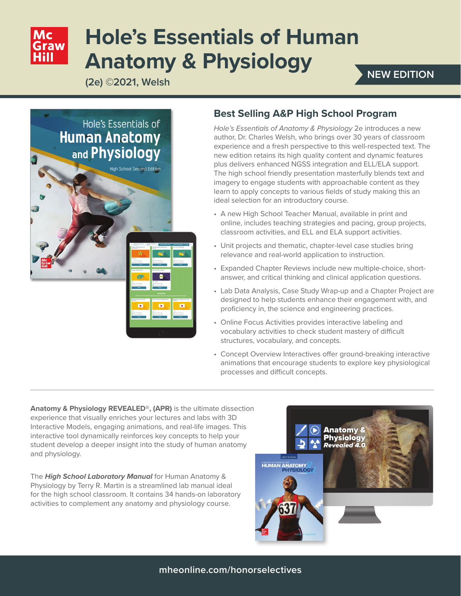# **Hole's Essentials of Human Anatomy & Physiology**

**(2e) ©2021, Welsh**

# **NEW EDITION**



### **Best Selling A&P High School Program**

*Hole's Essentials of Anatomy & Physiology* 2e introduces a new author, Dr. Charles Welsh, who brings over 30 years of classroom experience and a fresh perspective to this well-respected text. The new edition retains its high quality content and dynamic features plus delivers enhanced NGSS integration and ELL/ELA support. The high school friendly presentation masterfully blends text and imagery to engage students with approachable content as they learn to apply concepts to various fields of study making this an ideal selection for an introductory course.

- A new High School Teacher Manual, available in print and online, includes teaching strategies and pacing, group projects, classroom activities, and ELL and ELA support activities.
- Unit projects and thematic, chapter-level case studies bring relevance and real-world application to instruction.
- Expanded Chapter Reviews include new multiple-choice, shortanswer, and critical thinking and clinical application questions.
- Lab Data Analysis, Case Study Wrap-up and a Chapter Project are designed to help students enhance their engagement with, and proficiency in, the science and engineering practices.
- Online Focus Activities provides interactive labeling and vocabulary activities to check student mastery of difficult structures, vocabulary, and concepts.
- Concept Overview Interactives offer ground-breaking interactive animations that encourage students to explore key physiological processes and difficult concepts.

**Anatomy & Physiology REVEALED®, (APR)** is the ultimate dissection experience that visually enriches your lectures and labs with 3D Interactive Models, engaging animations, and real-life images. This interactive tool dynamically reinforces key concepts to help your student develop a deeper insight into the study of human anatomy and physiology.

The *High School Laboratory Manual* for Human Anatomy & Physiology by Terry R. Martin is a streamlined lab manual ideal for the high school classroom. It contains 34 hands-on laboratory activities to complement any anatomy and physiology course.